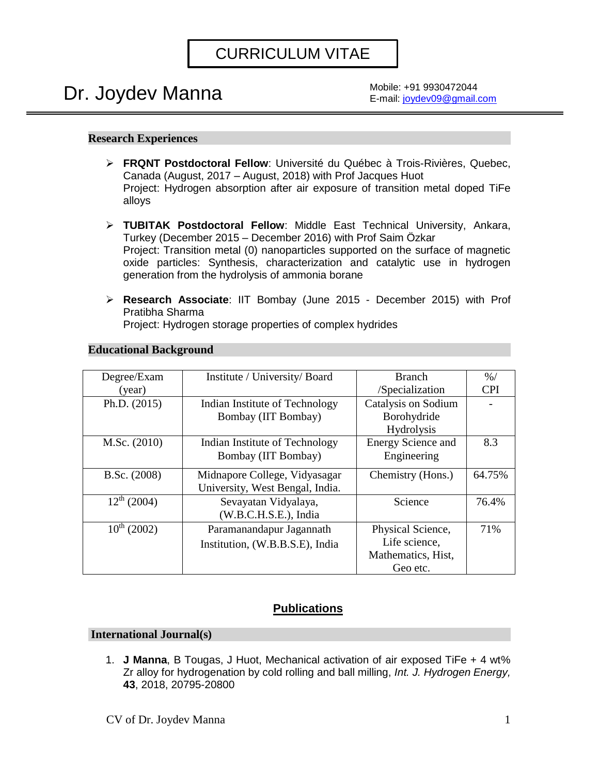## CURRICULUM VITAE

# Dr. Joydev Manna

Mobile: +91 9930472044 E-mail: [joydev09@gmail.com](mailto:joydev09@gmail.com)

## **Research Experiences**

- ➢ **FRQNT Postdoctoral Fellow**: Université du Québec à Trois-Rivières, Quebec, Canada (August, 2017 – August, 2018) with Prof Jacques Huot Project: Hydrogen absorption after air exposure of transition metal doped TiFe alloys
- ➢ **TUBITAK Postdoctoral Fellow**: Middle East Technical University, Ankara, Turkey (December 2015 – December 2016) with Prof Saim Özkar Project: Transition metal (0) nanoparticles supported on the surface of magnetic oxide particles: Synthesis, characterization and catalytic use in hydrogen generation from the hydrolysis of ammonia borane
- ➢ **Research Associate**: IIT Bombay (June 2015 December 2015) with Prof Pratibha Sharma

Project: Hydrogen storage properties of complex hydrides

| Degree/Exam<br>(year) | Institute / University/ Board                                    | <b>Branch</b><br>/Specialization                                     | $\frac{9}{6}$<br><b>CPI</b> |
|-----------------------|------------------------------------------------------------------|----------------------------------------------------------------------|-----------------------------|
| Ph.D. $(2015)$        | Indian Institute of Technology<br>Bombay (IIT Bombay)            | Catalysis on Sodium<br>Borohydride<br><b>Hydrolysis</b>              |                             |
| M.Sc. (2010)          | Indian Institute of Technology<br>Bombay (IIT Bombay)            | Energy Science and<br>Engineering                                    | 8.3                         |
| B.Sc. (2008)          | Midnapore College, Vidyasagar<br>University, West Bengal, India. | Chemistry (Hons.)                                                    | 64.75%                      |
| $12^{th}$ (2004)      | Sevayatan Vidyalaya,<br>(W.B.C.H.S.E.), India                    | Science                                                              | 76.4%                       |
| $10^{th}$ (2002)      | Paramanandapur Jagannath<br>Institution, (W.B.B.S.E), India      | Physical Science,<br>Life science,<br>Mathematics, Hist,<br>Geo etc. | 71%                         |

## **Educational Background**

## **Publications**

#### **International Journal(s)**

1. **J Manna**, B Tougas, J Huot, Mechanical activation of air exposed TiFe + 4 wt% Zr alloy for hydrogenation by cold rolling and ball milling, *Int. J. Hydrogen Energy,* **43**, 2018, 20795-20800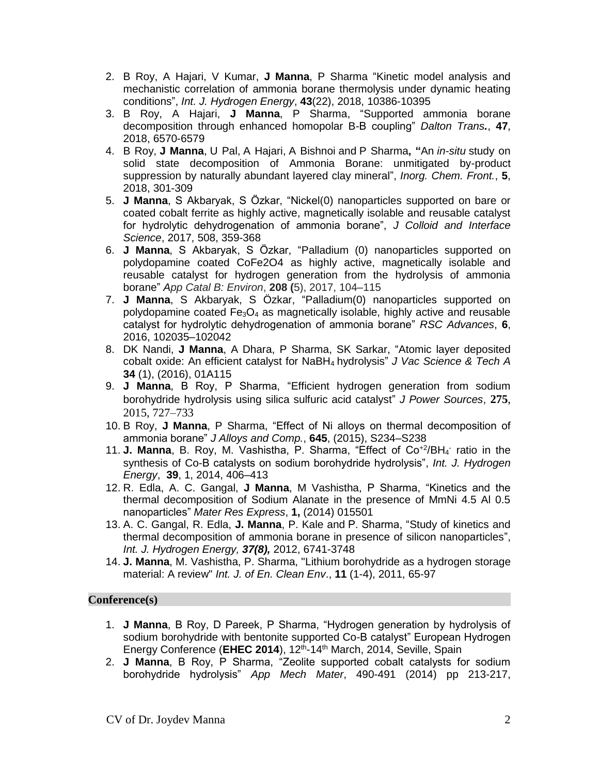- 2. B Roy, A Hajari, V Kumar, **J Manna**, P Sharma "Kinetic model analysis and mechanistic correlation of ammonia borane thermolysis under dynamic heating conditions", *Int. J. Hydrogen Energy*, **43**(22), 2018, 10386-10395
- 3. B Roy, A Hajari, **J Manna**, P Sharma, "Supported ammonia borane decomposition through enhanced homopolar B-B coupling" *Dalton Trans.*, **47**, 2018, 6570-6579
- 4. B Roy, **J Manna**, U Pal, A Hajari, A Bishnoi and P Sharma**, "**An *in-situ* study on solid state decomposition of Ammonia Borane: unmitigated by-product suppression by naturally abundant layered clay mineral", *Inorg. Chem. Front.*, **5**, 2018, 301-309
- 5. **J Manna**, S Akbaryak, S Özkar, "Nickel(0) nanoparticles supported on bare or coated cobalt ferrite as highly active, magnetically isolable and reusable catalyst for hydrolytic dehydrogenation of ammonia borane", *J Colloid and Interface Science*, 2017, 508, 359-368
- 6. **J Manna**, S Akbaryak, S Özkar, "Palladium (0) nanoparticles supported on polydopamine coated CoFe2O4 as highly active, magnetically isolable and reusable catalyst for hydrogen generation from the hydrolysis of ammonia borane" *App Catal B: Environ*, **208 (**5), 2017, 104–115
- 7. **J Manna**, S Akbaryak, S Özkar, "Palladium(0) nanoparticles supported on polydopamine coated  $Fe<sub>3</sub>O<sub>4</sub>$  as magnetically isolable, highly active and reusable catalyst for hydrolytic dehydrogenation of ammonia borane" *RSC Advances*, **6**, 2016, 102035–102042
- 8. DK Nandi, **J Manna**, A Dhara, P Sharma, SK Sarkar, "Atomic layer deposited cobalt oxide: An efficient catalyst for NaBH4 hydrolysis" *J Vac Science & Tech A* **34** (1), (2016), 01A115
- 9. **J Manna**, B Roy, P Sharma, "Efficient hydrogen generation from sodium borohydride hydrolysis using silica sulfuric acid catalyst" *J Power Sources*, **275**, 2015, 727–733
- 10. B Roy, **J Manna**, P Sharma, "Effect of Ni alloys on thermal decomposition of ammonia borane" *J Alloys and Comp.*, **645**, (2015), S234–S238
- 11. J. Manna, B. Roy, M. Vashistha, P. Sharma, "Effect of Co<sup>+2</sup>/BH<sub>4</sub> ratio in the synthesis of Co-B catalysts on sodium borohydride hydrolysis", *Int. J. Hydrogen Energy*, **39**, 1, 2014, 406–413
- 12. R. Edla, A. C. Gangal, **J Manna**, M Vashistha, P Sharma, "Kinetics and the thermal decomposition of Sodium Alanate in the presence of MmNi 4.5 Al 0.5 nanoparticles" *Mater Res Express*, **1,** (2014) 015501
- 13. A. C. Gangal, R. Edla, **J. Manna**, P. Kale and P. Sharma, "Study of kinetics and thermal decomposition of ammonia borane in presence of silicon nanoparticles", *Int. J. Hydrogen Energy, 37(8),* 2012, 6741-3748
- 14. **J. Manna**, M. Vashistha, P. Sharma, "Lithium borohydride as a hydrogen storage material: A review" *Int. J. of En. Clean Env*., **11** (1-4), 2011, 65-97

## **Conference(s)**

- 1. **J Manna**, B Roy, D Pareek, P Sharma, "Hydrogen generation by hydrolysis of sodium borohydride with bentonite supported Co-B catalyst" European Hydrogen Energy Conference (EHEC 2014), 12<sup>th</sup>-14<sup>th</sup> March, 2014, Seville, Spain
- 2. **J Manna**, B Roy, P Sharma, "Zeolite supported cobalt catalysts for sodium borohydride hydrolysis" *App Mech Mater*, 490-491 (2014) pp 213-217,